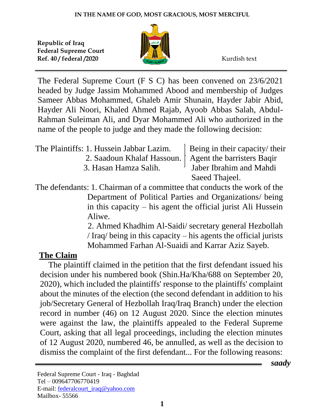

The Federal Supreme Court (F S C) has been convened on 23/6/2021 headed by Judge Jassim Mohammed Abood and membership of Judges Sameer Abbas Mohammed, Ghaleb Amir Shunain, Hayder Jabir Abid, Hayder Ali Noori, Khaled Ahmed Rajab, Ayoob Abbas Salah, Abdul-Rahman Suleiman Ali, and Dyar Mohammed Ali who authorized in the name of the people to judge and they made the following decision:

| The Plaintiffs: 1. Hussein Jabbar Lazim.                | Being in their capacity/their        |  |
|---------------------------------------------------------|--------------------------------------|--|
| 2. Saadoun Khalaf Hassoun.   Agent the barristers Baqir |                                      |  |
| 3. Hasan Hamza Salih.                                   | <sup>1</sup> Jaber Ibrahim and Mahdi |  |
|                                                         | Saeed Thajeel.                       |  |

The defendants: 1. Chairman of a committee that conducts the work of the Department of Political Parties and Organizations/ being in this capacity – his agent the official jurist Ali Hussein Aliwe.

> 2. Ahmed Khadhim Al-Saidi/ secretary general Hezbollah / Iraq/ being in this capacity – his agents the official jurists Mohammed Farhan Al-Suaidi and Karrar Aziz Sayeb.

## **The Claim**

 The plaintiff claimed in the petition that the first defendant issued his decision under his numbered book (Shin.Ha/Kha/688 on September 20, 2020), which included the plaintiffs' response to the plaintiffs' complaint about the minutes of the election (the second defendant in addition to his job/Secretary General of Hezbollah Iraq/Iraq Branch) under the election record in number (46) on 12 August 2020. Since the election minutes were against the law, the plaintiffs appealed to the Federal Supreme Court, asking that all legal proceedings, including the election minutes of 12 August 2020, numbered 46, be annulled, as well as the decision to dismiss the complaint of the first defendant... For the following reasons:

 *saady*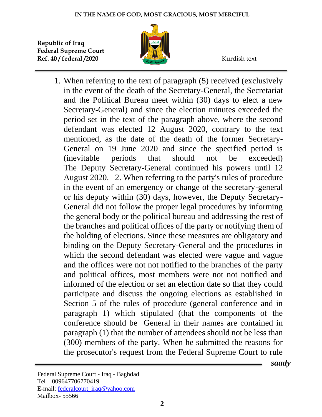

1. When referring to the text of paragraph (5) received (exclusively in the event of the death of the Secretary-General, the Secretariat and the Political Bureau meet within (30) days to elect a new Secretary-General) and since the election minutes exceeded the period set in the text of the paragraph above, where the second defendant was elected 12 August 2020, contrary to the text mentioned, as the date of the death of the former Secretary-General on 19 June 2020 and since the specified period is (inevitable periods that should not be exceeded) The Deputy Secretary-General continued his powers until 12 August 2020. 2. When referring to the party's rules of procedure in the event of an emergency or change of the secretary-general or his deputy within (30) days, however, the Deputy Secretary-General did not follow the proper legal procedures by informing the general body or the political bureau and addressing the rest of the branches and political offices of the party or notifying them of the holding of elections. Since these measures are obligatory and binding on the Deputy Secretary-General and the procedures in which the second defendant was elected were vague and vague and the offices were not not notified to the branches of the party and political offices, most members were not not notified and informed of the election or set an election date so that they could participate and discuss the ongoing elections as established in Section 5 of the rules of procedure (general conference and in paragraph 1) which stipulated (that the components of the conference should be General in their names are contained in paragraph (1) that the number of attendees should not be less than (300) members of the party. When he submitted the reasons for the prosecutor's request from the Federal Supreme Court to rule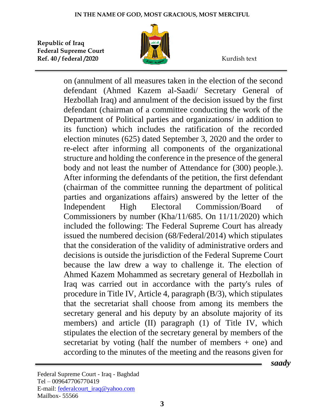

on (annulment of all measures taken in the election of the second defendant (Ahmed Kazem al-Saadi/ Secretary General of Hezbollah Iraq) and annulment of the decision issued by the first defendant (chairman of a committee conducting the work of the Department of Political parties and organizations/ in addition to its function) which includes the ratification of the recorded election minutes (625) dated September 3, 2020 and the order to re-elect after informing all components of the organizational structure and holding the conference in the presence of the general body and not least the number of Attendance for (300) people.). After informing the defendants of the petition, the first defendant (chairman of the committee running the department of political parties and organizations affairs) answered by the letter of the Independent High Electoral Commission/Board of Commissioners by number (Kha/11/685. On 11/11/2020) which included the following: The Federal Supreme Court has already issued the numbered decision (68/Federal/2014) which stipulates that the consideration of the validity of administrative orders and decisions is outside the jurisdiction of the Federal Supreme Court because the law drew a way to challenge it. The election of Ahmed Kazem Mohammed as secretary general of Hezbollah in Iraq was carried out in accordance with the party's rules of procedure in Title IV, Article 4, paragraph (B/3), which stipulates that the secretariat shall choose from among its members the secretary general and his deputy by an absolute majority of its members) and article (II) paragraph (1) of Title IV, which stipulates the election of the secretary general by members of the secretariat by voting (half the number of members + one) and according to the minutes of the meeting and the reasons given for

 *saady*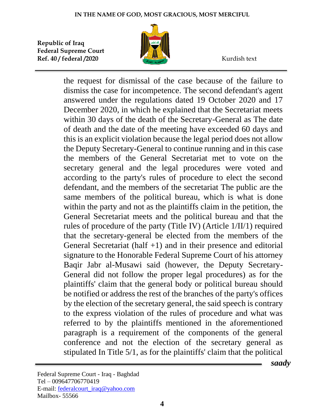

the request for dismissal of the case because of the failure to dismiss the case for incompetence. The second defendant's agent answered under the regulations dated 19 October 2020 and 17 December 2020, in which he explained that the Secretariat meets within 30 days of the death of the Secretary-General as The date of death and the date of the meeting have exceeded 60 days and this is an explicit violation because the legal period does not allow the Deputy Secretary-General to continue running and in this case the members of the General Secretariat met to vote on the secretary general and the legal procedures were voted and according to the party's rules of procedure to elect the second defendant, and the members of the secretariat The public are the same members of the political bureau, which is what is done within the party and not as the plaintiffs claim in the petition, the General Secretariat meets and the political bureau and that the rules of procedure of the party (Title IV) (Article 1/II/1) required that the secretary-general be elected from the members of the General Secretariat (half  $+1$ ) and in their presence and editorial signature to the Honorable Federal Supreme Court of his attorney Baqir Jabr al-Musawi said (however, the Deputy Secretary-General did not follow the proper legal procedures) as for the plaintiffs' claim that the general body or political bureau should be notified or address the rest of the branches of the party's offices by the election of the secretary general, the said speech is contrary to the express violation of the rules of procedure and what was referred to by the plaintiffs mentioned in the aforementioned paragraph is a requirement of the components of the general conference and not the election of the secretary general as stipulated In Title 5/1, as for the plaintiffs' claim that the political

 *saady*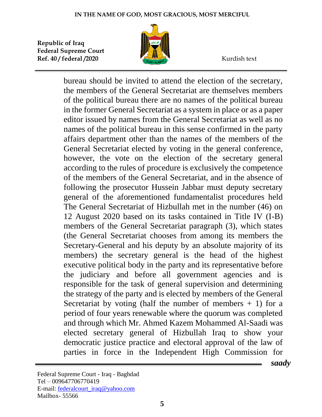

bureau should be invited to attend the election of the secretary, the members of the General Secretariat are themselves members of the political bureau there are no names of the political bureau in the former General Secretariat as a system in place or as a paper editor issued by names from the General Secretariat as well as no names of the political bureau in this sense confirmed in the party affairs department other than the names of the members of the General Secretariat elected by voting in the general conference, however, the vote on the election of the secretary general according to the rules of procedure is exclusively the competence of the members of the General Secretariat, and in the absence of following the prosecutor Hussein Jabbar must deputy secretary general of the aforementioned fundamentalist procedures held The General Secretariat of Hizbullah met in the number (46) on 12 August 2020 based on its tasks contained in Title IV (I-B) members of the General Secretariat paragraph (3), which states (the General Secretariat chooses from among its members the Secretary-General and his deputy by an absolute majority of its members) the secretary general is the head of the highest executive political body in the party and its representative before the judiciary and before all government agencies and is responsible for the task of general supervision and determining the strategy of the party and is elected by members of the General Secretariat by voting (half the number of members  $+ 1$ ) for a period of four years renewable where the quorum was completed and through which Mr. Ahmed Kazem Mohammed Al-Saadi was elected secretary general of Hizbullah Iraq to show your democratic justice practice and electoral approval of the law of parties in force in the Independent High Commission for

 *saady*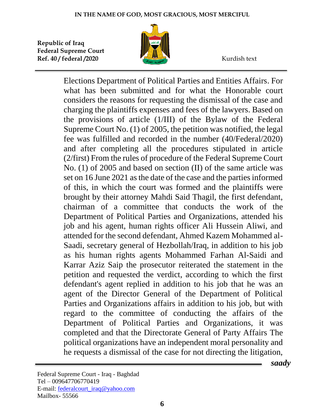

Elections Department of Political Parties and Entities Affairs. For what has been submitted and for what the Honorable court considers the reasons for requesting the dismissal of the case and charging the plaintiffs expenses and fees of the lawyers. Based on the provisions of article (1/III) of the Bylaw of the Federal Supreme Court No. (1) of 2005, the petition was notified, the legal fee was fulfilled and recorded in the number (40/Federal/2020) and after completing all the procedures stipulated in article (2/first) From the rules of procedure of the Federal Supreme Court No. (1) of 2005 and based on section (II) of the same article was set on 16 June 2021 as the date of the case and the parties informed of this, in which the court was formed and the plaintiffs were brought by their attorney Mahdi Said Thagil, the first defendant, chairman of a committee that conducts the work of the Department of Political Parties and Organizations, attended his job and his agent, human rights officer Ali Hussein Aliwi, and attended for the second defendant, Ahmed Kazem Mohammed al-Saadi, secretary general of Hezbollah/Iraq, in addition to his job as his human rights agents Mohammed Farhan Al-Saidi and Karrar Aziz Saip the prosecutor reiterated the statement in the petition and requested the verdict, according to which the first defendant's agent replied in addition to his job that he was an agent of the Director General of the Department of Political Parties and Organizations affairs in addition to his job, but with regard to the committee of conducting the affairs of the Department of Political Parties and Organizations, it was completed and that the Directorate General of Party Affairs The political organizations have an independent moral personality and he requests a dismissal of the case for not directing the litigation,

 *saady*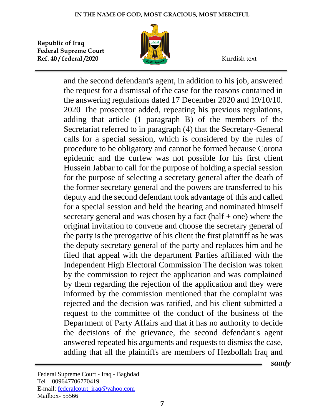

and the second defendant's agent, in addition to his job, answered the request for a dismissal of the case for the reasons contained in the answering regulations dated 17 December 2020 and 19/10/10. 2020 The prosecutor added, repeating his previous regulations, adding that article (1 paragraph B) of the members of the Secretariat referred to in paragraph (4) that the Secretary-General calls for a special session, which is considered by the rules of procedure to be obligatory and cannot be formed because Corona epidemic and the curfew was not possible for his first client Hussein Jabbar to call for the purpose of holding a special session for the purpose of selecting a secretary general after the death of the former secretary general and the powers are transferred to his deputy and the second defendant took advantage of this and called for a special session and held the hearing and nominated himself secretary general and was chosen by a fact  $(half + one)$  where the original invitation to convene and choose the secretary general of the party is the prerogative of his client the first plaintiff as he was the deputy secretary general of the party and replaces him and he filed that appeal with the department Parties affiliated with the Independent High Electoral Commission The decision was token by the commission to reject the application and was complained by them regarding the rejection of the application and they were informed by the commission mentioned that the complaint was rejected and the decision was ratified, and his client submitted a request to the committee of the conduct of the business of the Department of Party Affairs and that it has no authority to decide the decisions of the grievance, the second defendant's agent answered repeated his arguments and requests to dismiss the case, adding that all the plaintiffs are members of Hezbollah Iraq and

 *saady*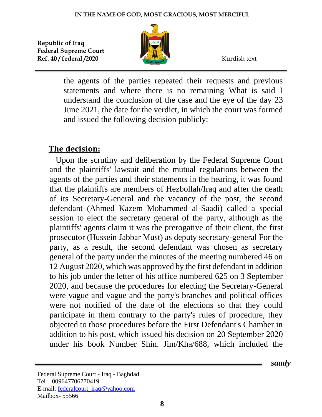

the agents of the parties repeated their requests and previous statements and where there is no remaining What is said I understand the conclusion of the case and the eye of the day 23 June 2021, the date for the verdict, in which the court was formed and issued the following decision publicly:

## **The decision:**

 Upon the scrutiny and deliberation by the Federal Supreme Court and the plaintiffs' lawsuit and the mutual regulations between the agents of the parties and their statements in the hearing, it was found that the plaintiffs are members of Hezbollah/Iraq and after the death of its Secretary-General and the vacancy of the post, the second defendant (Ahmed Kazem Mohammed al-Saadi) called a special session to elect the secretary general of the party, although as the plaintiffs' agents claim it was the prerogative of their client, the first prosecutor (Hussein Jabbar Must) as deputy secretary-general For the party, as a result, the second defendant was chosen as secretary general of the party under the minutes of the meeting numbered 46 on 12 August 2020, which was approved by the first defendant in addition to his job under the letter of his office numbered 625 on 3 September 2020, and because the procedures for electing the Secretary-General were vague and vague and the party's branches and political offices were not notified of the date of the elections so that they could participate in them contrary to the party's rules of procedure, they objected to those procedures before the First Defendant's Chamber in addition to his post, which issued his decision on 20 September 2020 under his book Number Shin. Jim/Kha/688, which included the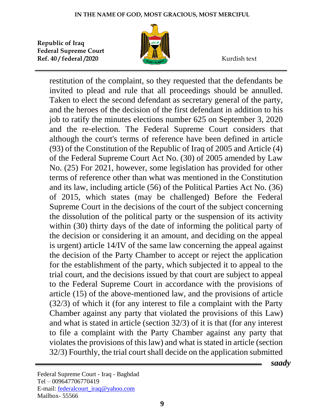

restitution of the complaint, so they requested that the defendants be invited to plead and rule that all proceedings should be annulled. Taken to elect the second defendant as secretary general of the party, and the heroes of the decision of the first defendant in addition to his job to ratify the minutes elections number 625 on September 3, 2020 and the re-election. The Federal Supreme Court considers that although the court's terms of reference have been defined in article (93) of the Constitution of the Republic of Iraq of 2005 and Article (4) of the Federal Supreme Court Act No. (30) of 2005 amended by Law No. (25) For 2021, however, some legislation has provided for other terms of reference other than what was mentioned in the Constitution and its law, including article (56) of the Political Parties Act No. (36) of 2015, which states (may be challenged) Before the Federal Supreme Court in the decisions of the court of the subject concerning the dissolution of the political party or the suspension of its activity within (30) thirty days of the date of informing the political party of the decision or considering it an amount, and deciding on the appeal is urgent) article 14/IV of the same law concerning the appeal against the decision of the Party Chamber to accept or reject the application for the establishment of the party, which subjected it to appeal to the trial court, and the decisions issued by that court are subject to appeal to the Federal Supreme Court in accordance with the provisions of article (15) of the above-mentioned law, and the provisions of article (32/3) of which it (for any interest to file a complaint with the Party Chamber against any party that violated the provisions of this Law) and what is stated in article (section 32/3) of it is that (for any interest to file a complaint with the Party Chamber against any party that violates the provisions of this law) and what is stated in article (section 32/3) Fourthly, the trial court shall decide on the application submitted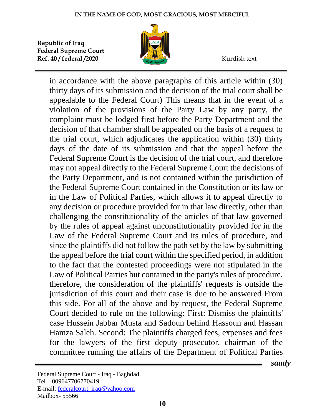

in accordance with the above paragraphs of this article within (30) thirty days of its submission and the decision of the trial court shall be appealable to the Federal Court) This means that in the event of a violation of the provisions of the Party Law by any party, the complaint must be lodged first before the Party Department and the decision of that chamber shall be appealed on the basis of a request to the trial court, which adjudicates the application within (30) thirty days of the date of its submission and that the appeal before the Federal Supreme Court is the decision of the trial court, and therefore may not appeal directly to the Federal Supreme Court the decisions of the Party Department, and is not contained within the jurisdiction of the Federal Supreme Court contained in the Constitution or its law or in the Law of Political Parties, which allows it to appeal directly to any decision or procedure provided for in that law directly, other than challenging the constitutionality of the articles of that law governed by the rules of appeal against unconstitutionality provided for in the Law of the Federal Supreme Court and its rules of procedure, and since the plaintiffs did not follow the path set by the law by submitting the appeal before the trial court within the specified period, in addition to the fact that the contested proceedings were not stipulated in the Law of Political Parties but contained in the party's rules of procedure, therefore, the consideration of the plaintiffs' requests is outside the jurisdiction of this court and their case is due to be answered From this side. For all of the above and by request, the Federal Supreme Court decided to rule on the following: First: Dismiss the plaintiffs' case Hussein Jabbar Musta and Sadoun behind Hassoun and Hassan Hamza Saleh. Second: The plaintiffs charged fees, expenses and fees for the lawyers of the first deputy prosecutor, chairman of the committee running the affairs of the Department of Political Parties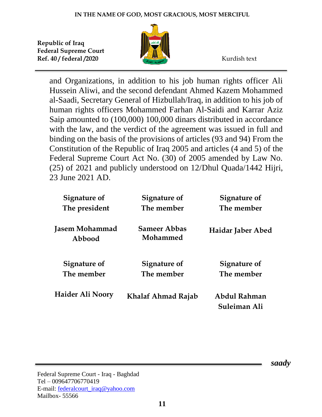

and Organizations, in addition to his job human rights officer Ali Hussein Aliwi, and the second defendant Ahmed Kazem Mohammed al-Saadi, Secretary General of Hizbullah/Iraq, in addition to his job of human rights officers Mohammed Farhan Al-Saidi and Karrar Aziz Saip amounted to (100,000) 100,000 dinars distributed in accordance with the law, and the verdict of the agreement was issued in full and binding on the basis of the provisions of articles (93 and 94) From the Constitution of the Republic of Iraq 2005 and articles (4 and 5) of the Federal Supreme Court Act No. (30) of 2005 amended by Law No. (25) of 2021 and publicly understood on 12/Dhul Quada/1442 Hijri, 23 June 2021 AD.

| Signature of             | Signature of                    | Signature of                 |
|--------------------------|---------------------------------|------------------------------|
| The president            | The member                      | The member                   |
| Jasem Mohammad<br>Abbood | <b>Sameer Abbas</b><br>Mohammed | Haidar Jaber Abed            |
| Signature of             | Signature of                    | Signature of                 |
| The member               | The member                      | The member                   |
| Haider Ali Noory         | Khalaf Ahmad Rajab              | Abdul Rahman<br>Suleiman Ali |

 *saady*